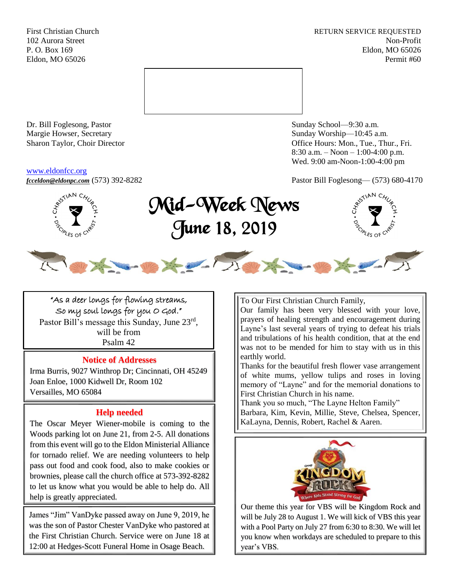First Christian Church **RETURN SERVICE REQUESTED** 102 Aurora Street Non-Profit P. O. Box 169 Eldon, MO 65026 Eldon, MO 65026 Permit #60



Dr. Bill Foglesong, Pastor Sunday School—9:30 a.m. Margie Howser, Secretary Sunday Worship—10:45 a.m.

#### [www.eldonfcc.org](http://www.eldonfcc.org/)

Sharon Taylor, Choir Director **Calcular Control** Control Control Control Control Control Control Control Control Control Control Control Control Control Control Control Control Control Control Control Control Control Contr 8:30 a.m. – Noon – 1:00-4:00 p.m. Wed. 9:00 am-Noon-1:00-4:00 pm

*[fcceldon@eldonpc.com](mailto:fcceldon@eldonpc.com)* (573) 392-8282 Pastor Bill Foglesong— (573) 680-4170



# Mid-Week News June 18, 2019

the order



"As a deer longs for flowing streams, So my soul longs for you O God." Pastor Bill's message this Sunday, June 23rd, will be from Psalm 42

## **Notice of Addresses**

Irma Burris, 9027 Winthrop Dr; Cincinnati, OH 45249 Joan Enloe, 1000 Kidwell Dr, Room 102 Versailles, MO 65084

# **Help needed**

The Oscar Meyer Wiener-mobile is coming to the Woods parking lot on June 21, from 2-5. All donations from this event will go to the Eldon Ministerial Alliance for tornado relief. We are needing volunteers to help pass out food and cook food, also to make cookies or brownies, please call the church office at 573-392-8282 to let us know what you would be able to help do. All help is greatly appreciated.

James "Jim" VanDyke passed away on June 9, 2019, he was the son of Pastor Chester VanDyke who pastored at the First Christian Church. Service were on June 18 at 12:00 at Hedges-Scott Funeral Home in Osage Beach.

To Our First Christian Church Family,

Our family has been very blessed with your love, prayers of healing strength and encouragement during Layne's last several years of trying to defeat his trials and tribulations of his health condition, that at the end was not to be mended for him to stay with us in this earthly world.

Thanks for the beautiful fresh flower vase arrangement of white mums, yellow tulips and roses in loving memory of "Layne" and for the memorial donations to First Christian Church in his name.

Thank you so much, "The Layne Helton Family" Barbara, Kim, Kevin, Millie, Steve, Chelsea, Spencer, KaLayna, Dennis, Robert, Rachel & Aaren.



Our theme this year for VBS will be Kingdom Rock and will be July 28 to August 1. We will kick of VBS this year with a Pool Party on July 27 from 6:30 to 8:30. We will let you know when workdays are scheduled to prepare to this year's VBS.